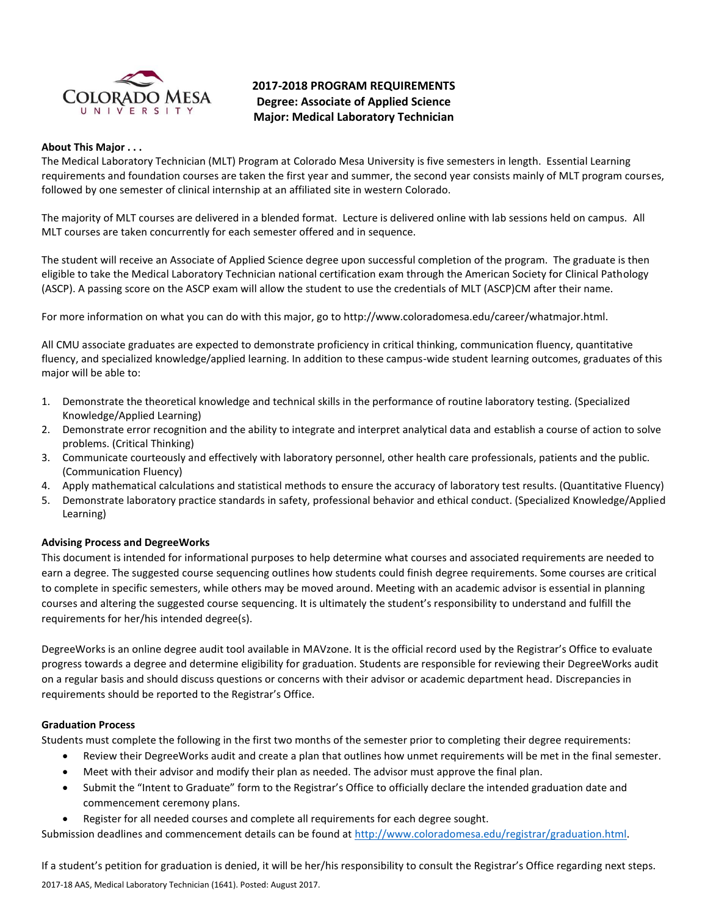

# **2017-2018 PROGRAM REQUIREMENTS Degree: Associate of Applied Science Major: Medical Laboratory Technician**

#### **About This Major . . .**

The Medical Laboratory Technician (MLT) Program at Colorado Mesa University is five semesters in length. Essential Learning requirements and foundation courses are taken the first year and summer, the second year consists mainly of MLT program courses, followed by one semester of clinical internship at an affiliated site in western Colorado.

The majority of MLT courses are delivered in a blended format. Lecture is delivered online with lab sessions held on campus. All MLT courses are taken concurrently for each semester offered and in sequence.

The student will receive an Associate of Applied Science degree upon successful completion of the program. The graduate is then eligible to take the Medical Laboratory Technician national certification exam through the American Society for Clinical Pathology (ASCP). A passing score on the ASCP exam will allow the student to use the credentials of MLT (ASCP)CM after their name.

For more information on what you can do with this major, go to http://www.coloradomesa.edu/career/whatmajor.html.

All CMU associate graduates are expected to demonstrate proficiency in critical thinking, communication fluency, quantitative fluency, and specialized knowledge/applied learning. In addition to these campus-wide student learning outcomes, graduates of this major will be able to:

- 1. Demonstrate the theoretical knowledge and technical skills in the performance of routine laboratory testing. (Specialized Knowledge/Applied Learning)
- 2. Demonstrate error recognition and the ability to integrate and interpret analytical data and establish a course of action to solve problems. (Critical Thinking)
- 3. Communicate courteously and effectively with laboratory personnel, other health care professionals, patients and the public. (Communication Fluency)
- 4. Apply mathematical calculations and statistical methods to ensure the accuracy of laboratory test results. (Quantitative Fluency)
- 5. Demonstrate laboratory practice standards in safety, professional behavior and ethical conduct. (Specialized Knowledge/Applied Learning)

# **Advising Process and DegreeWorks**

This document is intended for informational purposes to help determine what courses and associated requirements are needed to earn a degree. The suggested course sequencing outlines how students could finish degree requirements. Some courses are critical to complete in specific semesters, while others may be moved around. Meeting with an academic advisor is essential in planning courses and altering the suggested course sequencing. It is ultimately the student's responsibility to understand and fulfill the requirements for her/his intended degree(s).

DegreeWorks is an online degree audit tool available in MAVzone. It is the official record used by the Registrar's Office to evaluate progress towards a degree and determine eligibility for graduation. Students are responsible for reviewing their DegreeWorks audit on a regular basis and should discuss questions or concerns with their advisor or academic department head. Discrepancies in requirements should be reported to the Registrar's Office.

# **Graduation Process**

Students must complete the following in the first two months of the semester prior to completing their degree requirements:

- Review their DegreeWorks audit and create a plan that outlines how unmet requirements will be met in the final semester.
- Meet with their advisor and modify their plan as needed. The advisor must approve the final plan.
- Submit the "Intent to Graduate" form to the Registrar's Office to officially declare the intended graduation date and commencement ceremony plans.
- Register for all needed courses and complete all requirements for each degree sought.

Submission deadlines and commencement details can be found at [http://www.coloradomesa.edu/registrar/graduation.html.](http://www.coloradomesa.edu/registrar/graduation.html)

2017-18 AAS, Medical Laboratory Technician (1641). Posted: August 2017. If a student's petition for graduation is denied, it will be her/his responsibility to consult the Registrar's Office regarding next steps.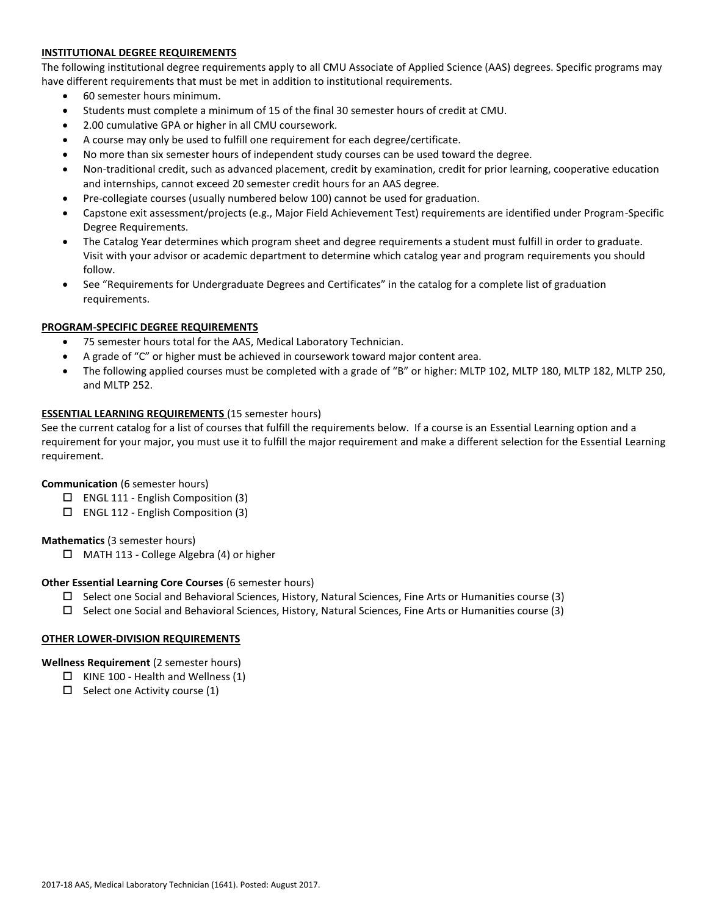# **INSTITUTIONAL DEGREE REQUIREMENTS**

The following institutional degree requirements apply to all CMU Associate of Applied Science (AAS) degrees. Specific programs may have different requirements that must be met in addition to institutional requirements.

- 60 semester hours minimum.
- Students must complete a minimum of 15 of the final 30 semester hours of credit at CMU.
- 2.00 cumulative GPA or higher in all CMU coursework.
- A course may only be used to fulfill one requirement for each degree/certificate.
- No more than six semester hours of independent study courses can be used toward the degree.
- Non-traditional credit, such as advanced placement, credit by examination, credit for prior learning, cooperative education and internships, cannot exceed 20 semester credit hours for an AAS degree.
- Pre-collegiate courses (usually numbered below 100) cannot be used for graduation.
- Capstone exit assessment/projects (e.g., Major Field Achievement Test) requirements are identified under Program-Specific Degree Requirements.
- The Catalog Year determines which program sheet and degree requirements a student must fulfill in order to graduate. Visit with your advisor or academic department to determine which catalog year and program requirements you should follow.
- See "Requirements for Undergraduate Degrees and Certificates" in the catalog for a complete list of graduation requirements.

# **PROGRAM-SPECIFIC DEGREE REQUIREMENTS**

- 75 semester hours total for the AAS, Medical Laboratory Technician.
- A grade of "C" or higher must be achieved in coursework toward major content area.
- The following applied courses must be completed with a grade of "B" or higher: MLTP 102, MLTP 180, MLTP 182, MLTP 250, and MLTP 252.

### **ESSENTIAL LEARNING REQUIREMENTS** (15 semester hours)

See the current catalog for a list of courses that fulfill the requirements below. If a course is an Essential Learning option and a requirement for your major, you must use it to fulfill the major requirement and make a different selection for the Essential Learning requirement.

#### **Communication** (6 semester hours)

- $\Box$  ENGL 111 English Composition (3)
- ENGL 112 English Composition (3)

# **Mathematics** (3 semester hours)

 $\Box$  MATH 113 - College Algebra (4) or higher

#### **Other Essential Learning Core Courses** (6 semester hours)

- $\Box$  Select one Social and Behavioral Sciences, History, Natural Sciences, Fine Arts or Humanities course (3)
- $\square$  Select one Social and Behavioral Sciences, History, Natural Sciences, Fine Arts or Humanities course (3)

# **OTHER LOWER-DIVISION REQUIREMENTS**

#### **Wellness Requirement** (2 semester hours)

- $\Box$  KINE 100 Health and Wellness (1)
- $\Box$  Select one Activity course (1)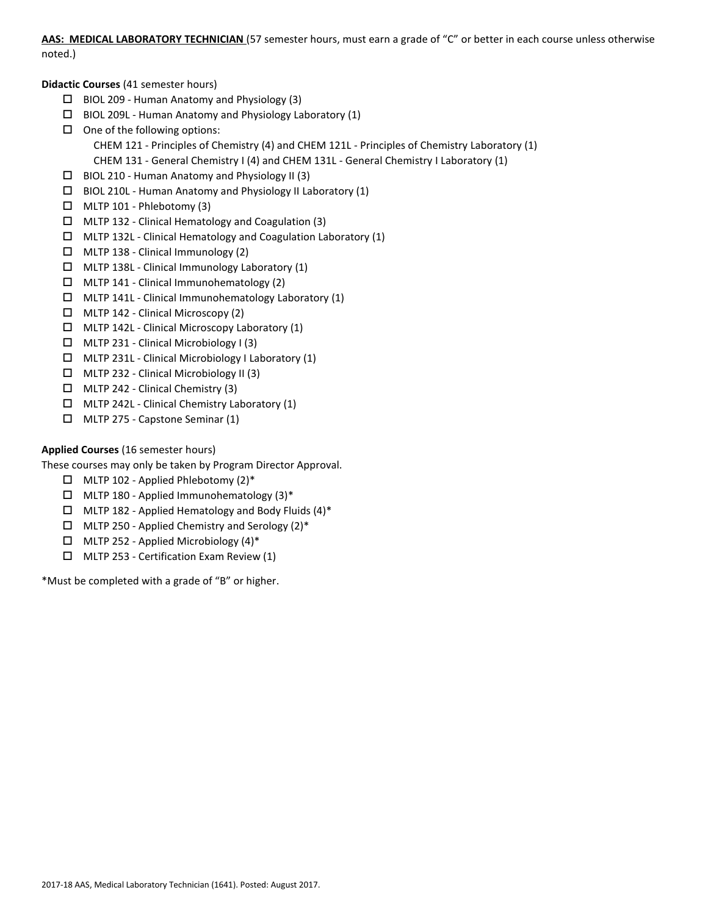**AAS: MEDICAL LABORATORY TECHNICIAN** (57 semester hours, must earn a grade of "C" or better in each course unless otherwise noted.)

# **Didactic Courses** (41 semester hours)

- $\Box$  BIOL 209 Human Anatomy and Physiology (3)
- $\Box$  BIOL 209L Human Anatomy and Physiology Laboratory (1)
- $\Box$  One of the following options: CHEM 121 - Principles of Chemistry (4) and CHEM 121L - Principles of Chemistry Laboratory (1) CHEM 131 - General Chemistry I (4) and CHEM 131L - General Chemistry I Laboratory (1)
- $\Box$  BIOL 210 Human Anatomy and Physiology II (3)
- $\Box$  BIOL 210L Human Anatomy and Physiology II Laboratory (1)
- $\Box$  MLTP 101 Phlebotomy (3)
- MLTP 132 Clinical Hematology and Coagulation (3)
- $\Box$  MLTP 132L Clinical Hematology and Coagulation Laboratory (1)
- $\Box$  MLTP 138 Clinical Immunology (2)
- $\Box$  MLTP 138L Clinical Immunology Laboratory (1)
- $\Box$  MLTP 141 Clinical Immunohematology (2)
- MLTP 141L Clinical Immunohematology Laboratory (1)
- $\Box$  MLTP 142 Clinical Microscopy (2)
- $\Box$  MLTP 142L Clinical Microscopy Laboratory (1)
- MLTP 231 Clinical Microbiology I (3)
- MLTP 231L Clinical Microbiology I Laboratory (1)
- MLTP 232 Clinical Microbiology II (3)
- $\Box$  MLTP 242 Clinical Chemistry (3)
- $\Box$  MLTP 242L Clinical Chemistry Laboratory (1)
- MLTP 275 Capstone Seminar (1)

# **Applied Courses** (16 semester hours)

These courses may only be taken by Program Director Approval.

- MLTP 102 Applied Phlebotomy (2)\*
- $\Box$  MLTP 180 Applied Immunohematology (3)\*
- $\Box$  MLTP 182 Applied Hematology and Body Fluids (4)\*
- $\Box$  MLTP 250 Applied Chemistry and Serology (2)\*
- $\Box$  MLTP 252 Applied Microbiology (4)\*
- MLTP 253 Certification Exam Review (1)

\*Must be completed with a grade of "B" or higher.